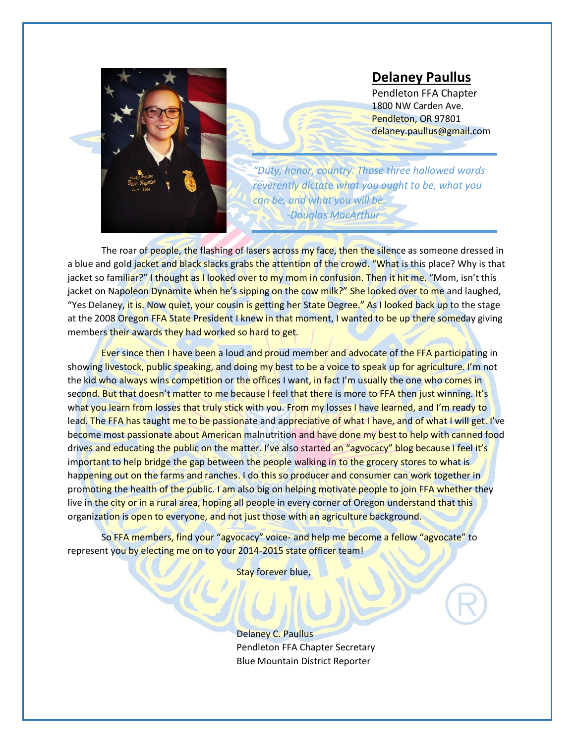

## **Delaney Paullus**

Pendleton FFA Chapter 1800 NW Carden Ave. Pendleton, OR 97801 delaney.paullus@gmail.com

*"Duty, honor, country. Those three hallowed words reverently dictate what you ought to be, what you can be, and what you will be. -Douglas MacArthur*

The roar of people, the flashing of lasers across my face, then the silence as someone dressed in a blue and gold jacket and black slacks grabs the attention of the crowd. "What is this place? Why is that jacket so familiar?" I thought as I looked over to my mom in confusion. Then it hit me. "Mom, isn't this jacket on Napoleon Dynamite when he's sipping on the cow milk?" She looked over to me and laughed, "Yes Delaney, it is. Now quiet, your cousin is getting her State Degree." As I looked back up to the stage at the 2008 Oregon FFA State President I knew in that moment, I wanted to be up there someday giving members their awards they had worked so hard to get.

Ever since then I have been a loud and proud member and advocate of the FFA participating in showing livestock, public speaking, and doing my best to be a voice to speak up for agriculture. I'm not the kid who always wins competition or the offices I want, in fact I'm usually the one who comes in second. But that doesn't matter to me because I feel that there is more to FFA then just winning. It's what you learn from losses that truly stick with you. From my losses I have learned, and I'm ready to lead. The FFA has taught me to be passionate and appreciative of what I have, and of what I will get. I've become most passionate about American malnutrition and have done my best to help with canned food drives and educating the public on the matter. I've also started an "agvocacy" blog because I feel it's important to help bridge the gap between the people walking in to the grocery stores to what is happening out on the farms and ranches. I do this so producer and consumer can work together in promoting the health of the public. I am also big on helping motivate people to join FFA whether they live in the city or in a rural area, hoping all people in every corner of Oregon understand that this organization is open to everyone, and not just those with an agriculture background.

So FFA members, find your "agvocacy" voice- and help me become a fellow "agvocate" to represent you by electing me on to your 2014-2015 state officer team!

Stay forever blue,

Delaney C. Paullus Pendleton FFA Chapter Secretary Blue Mountain District Reporter